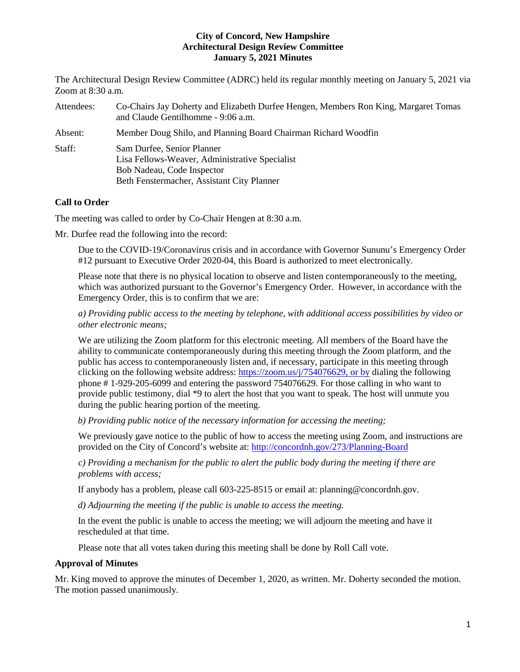The Architectural Design Review Committee (ADRC) held its regular monthly meeting on January 5, 2021 via Zoom at 8:30 a.m.

| Attendees: | Co-Chairs Jay Doherty and Elizabeth Durfee Hengen, Members Ron King, Margaret Tomas<br>and Claude Gentilhomme - 9:06 a.m.                                |
|------------|----------------------------------------------------------------------------------------------------------------------------------------------------------|
| Absent:    | Member Doug Shilo, and Planning Board Chairman Richard Woodfin                                                                                           |
| Staff:     | Sam Durfee, Senior Planner<br>Lisa Fellows-Weaver, Administrative Specialist<br>Bob Nadeau, Code Inspector<br>Beth Fenstermacher, Assistant City Planner |

# **Call to Order**

The meeting was called to order by Co-Chair Hengen at 8:30 a.m.

Mr. Durfee read the following into the record:

Due to the COVID-19/Coronavirus crisis and in accordance with Governor Sununu's Emergency Order #12 pursuant to Executive Order 2020-04, this Board is authorized to meet electronically.

Please note that there is no physical location to observe and listen contemporaneously to the meeting, which was authorized pursuant to the Governor's Emergency Order. However, in accordance with the Emergency Order, this is to confirm that we are:

*a) Providing public access to the meeting by telephone, with additional access possibilities by video or other electronic means;* 

We are utilizing the Zoom platform for this electronic meeting. All members of the Board have the ability to communicate contemporaneously during this meeting through the Zoom platform, and the public has access to contemporaneously listen and, if necessary, participate in this meeting through clicking on the following website address: [https://zoom.us/j/754076629,](https://zoom.us/j/754076629) or by dialing the following phone # 1-929-205-6099 and entering the password 754076629. For those calling in who want to provide public testimony, dial \*9 to alert the host that you want to speak. The host will unmute you during the public hearing portion of the meeting.

*b) Providing public notice of the necessary information for accessing the meeting;*

We previously gave notice to the public of how to access the meeting using Zoom, and instructions are provided on the City of Concord's website at: <http://concordnh.gov/273/Planning-Board>

*c) Providing a mechanism for the public to alert the public body during the meeting if there are problems with access;* 

If anybody has a problem, please call 603-225-8515 or email at: planning@concordnh.gov.

*d) Adjourning the meeting if the public is unable to access the meeting.*

In the event the public is unable to access the meeting; we will adjourn the meeting and have it rescheduled at that time.

Please note that all votes taken during this meeting shall be done by Roll Call vote.

# **Approval of Minutes**

Mr. King moved to approve the minutes of December 1, 2020, as written. Mr. Doherty seconded the motion. The motion passed unanimously.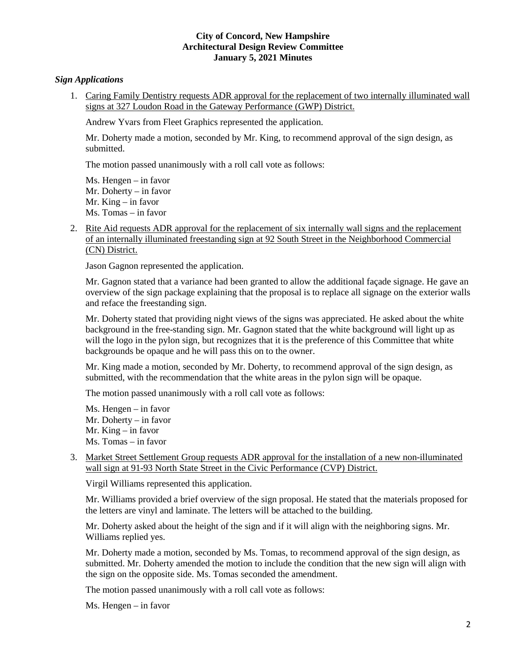# *Sign Applications*

1. Caring Family Dentistry requests ADR approval for the replacement of two internally illuminated wall signs at 327 Loudon Road in the Gateway Performance (GWP) District.

Andrew Yvars from Fleet Graphics represented the application.

Mr. Doherty made a motion, seconded by Mr. King, to recommend approval of the sign design, as submitted.

The motion passed unanimously with a roll call vote as follows:

Ms. Hengen – in favor Mr. Doherty – in favor Mr. King – in favor Ms. Tomas – in favor

2. [Rite Aid](https://www.concordnh.gov/DocumentCenter/View/16575/92-South-St---ADR) requests ADR approval for the replacement of six internally wall signs and the replacement of an internally illuminated freestanding sign at 92 South Street in the Neighborhood Commercial (CN) District.

Jason Gagnon represented the application.

Mr. Gagnon stated that a variance had been granted to allow the additional façade signage. He gave an overview of the sign package explaining that the proposal is to replace all signage on the exterior walls and reface the freestanding sign.

Mr. Doherty stated that providing night views of the signs was appreciated. He asked about the white background in the free-standing sign. Mr. Gagnon stated that the white background will light up as will the logo in the pylon sign, but recognizes that it is the preference of this Committee that white backgrounds be opaque and he will pass this on to the owner.

Mr. King made a motion, seconded by Mr. Doherty, to recommend approval of the sign design, as submitted, with the recommendation that the white areas in the pylon sign will be opaque.

The motion passed unanimously with a roll call vote as follows:

Ms. Hengen – in favor Mr. Doherty – in favor Mr. King – in favor Ms. Tomas – in favor

3. Market Street Settlement Group requests ADR approval for the installation of a new non-illuminated wall sign at 91-93 North State Street in the Civic Performance (CVP) District.

Virgil Williams represented this application.

Mr. Williams provided a brief overview of the sign proposal. He stated that the materials proposed for the letters are vinyl and laminate. The letters will be attached to the building.

Mr. Doherty asked about the height of the sign and if it will align with the neighboring signs. Mr. Williams replied yes.

Mr. Doherty made a motion, seconded by Ms. Tomas, to recommend approval of the sign design, as submitted. Mr. Doherty amended the motion to include the condition that the new sign will align with the sign on the opposite side. Ms. Tomas seconded the amendment.

The motion passed unanimously with a roll call vote as follows:

Ms. Hengen – in favor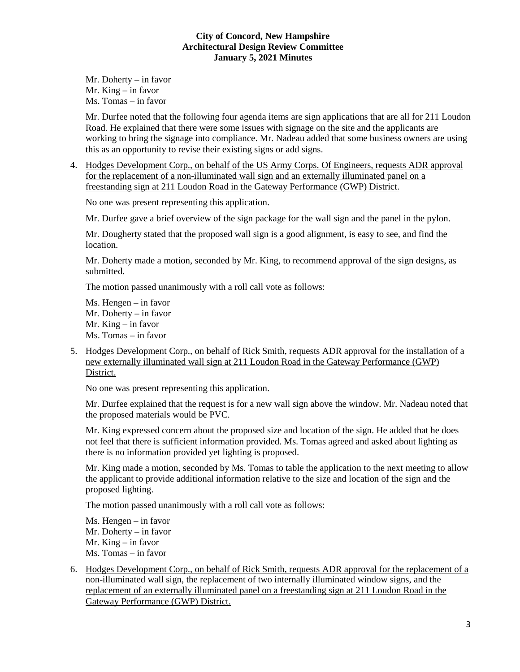Mr. Doherty – in favor Mr. King – in favor Ms. Tomas – in favor

Mr. Durfee noted that the following four agenda items are sign applications that are all for 211 Loudon Road. He explained that there were some issues with signage on the site and the applicants are working to bring the signage into compliance. Mr. Nadeau added that some business owners are using this as an opportunity to revise their existing signs or add signs.

4. Hodges Development Corp., on behalf of the US Army Corps. Of Engineers, requests ADR approval for the replacement of a non-illuminated wall sign and an externally illuminated panel on a freestanding sign at 211 Loudon Road in the Gateway Performance (GWP) District.

No one was present representing this application.

Mr. Durfee gave a brief overview of the sign package for the wall sign and the panel in the pylon.

Mr. Dougherty stated that the proposed wall sign is a good alignment, is easy to see, and find the location.

Mr. Doherty made a motion, seconded by Mr. King, to recommend approval of the sign designs, as submitted.

The motion passed unanimously with a roll call vote as follows:

Ms. Hengen – in favor Mr. Doherty – in favor Mr. King – in favor Ms. Tomas – in favor

5. Hodges Development Corp., on behalf of Rick Smith, requests ADR approval for the installation of a new externally illuminated wall sign at 211 Loudon Road in the Gateway Performance (GWP) District.

No one was present representing this application.

Mr. Durfee explained that the request is for a new wall sign above the window. Mr. Nadeau noted that the proposed materials would be PVC.

Mr. King expressed concern about the proposed size and location of the sign. He added that he does not feel that there is sufficient information provided. Ms. Tomas agreed and asked about lighting as there is no information provided yet lighting is proposed.

Mr. King made a motion, seconded by Ms. Tomas to table the application to the next meeting to allow the applicant to provide additional information relative to the size and location of the sign and the proposed lighting.

The motion passed unanimously with a roll call vote as follows:

Ms. Hengen – in favor Mr. Doherty – in favor Mr. King – in favor Ms. Tomas – in favor

6. Hodges Development Corp., on behalf of Rick Smith, requests ADR approval for the replacement of a non-illuminated wall sign, the replacement of two internally illuminated window signs, and the replacement of an externally illuminated panel on a freestanding sign at 211 Loudon Road in the Gateway Performance (GWP) District.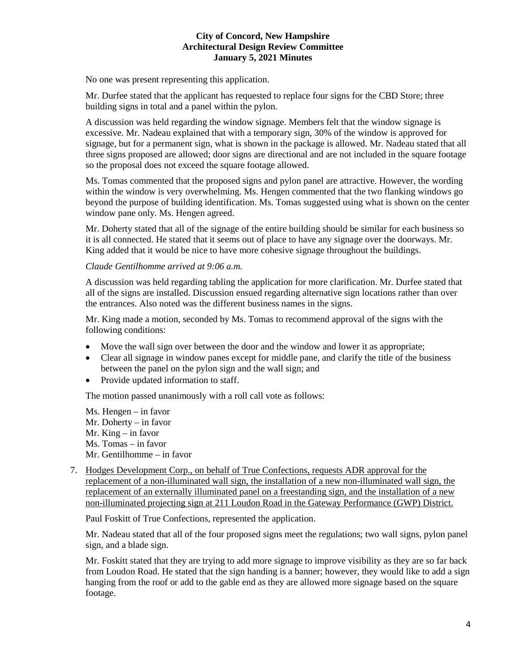No one was present representing this application.

Mr. Durfee stated that the applicant has requested to replace four signs for the CBD Store; three building signs in total and a panel within the pylon.

A discussion was held regarding the window signage. Members felt that the window signage is excessive. Mr. Nadeau explained that with a temporary sign, 30% of the window is approved for signage, but for a permanent sign, what is shown in the package is allowed. Mr. Nadeau stated that all three signs proposed are allowed; door signs are directional and are not included in the square footage so the proposal does not exceed the square footage allowed.

Ms. Tomas commented that the proposed signs and pylon panel are attractive. However, the wording within the window is very overwhelming. Ms. Hengen commented that the two flanking windows go beyond the purpose of building identification. Ms. Tomas suggested using what is shown on the center window pane only. Ms. Hengen agreed.

Mr. Doherty stated that all of the signage of the entire building should be similar for each business so it is all connected. He stated that it seems out of place to have any signage over the doorways. Mr. King added that it would be nice to have more cohesive signage throughout the buildings.

# *Claude Gentilhomme arrived at 9:06 a.m.*

A discussion was held regarding tabling the application for more clarification. Mr. Durfee stated that all of the signs are installed. Discussion ensued regarding alternative sign locations rather than over the entrances. Also noted was the different business names in the signs.

Mr. King made a motion, seconded by Ms. Tomas to recommend approval of the signs with the following conditions:

- Move the wall sign over between the door and the window and lower it as appropriate;
- Clear all signage in window panes except for middle pane, and clarify the title of the business between the panel on the pylon sign and the wall sign; and
- Provide updated information to staff.

The motion passed unanimously with a roll call vote as follows:

Ms. Hengen – in favor Mr. Doherty – in favor Mr. King – in favor Ms. Tomas – in favor Mr. Gentilhomme – in favor

7. Hodges Development Corp., on behalf of True Confections, requests ADR approval for the replacement of a non-illuminated wall sign, the installation of a new non-illuminated wall sign, the replacement of an externally illuminated panel on a freestanding sign, and the installation of a new non-illuminated projecting sign at 211 Loudon Road in the Gateway Performance (GWP) District.

Paul Foskitt of True Confections, represented the application.

Mr. Nadeau stated that all of the four proposed signs meet the regulations; two wall signs, pylon panel sign, and a blade sign.

Mr. Foskitt stated that they are trying to add more signage to improve visibility as they are so far back from Loudon Road. He stated that the sign handing is a banner; however, they would like to add a sign hanging from the roof or add to the gable end as they are allowed more signage based on the square footage.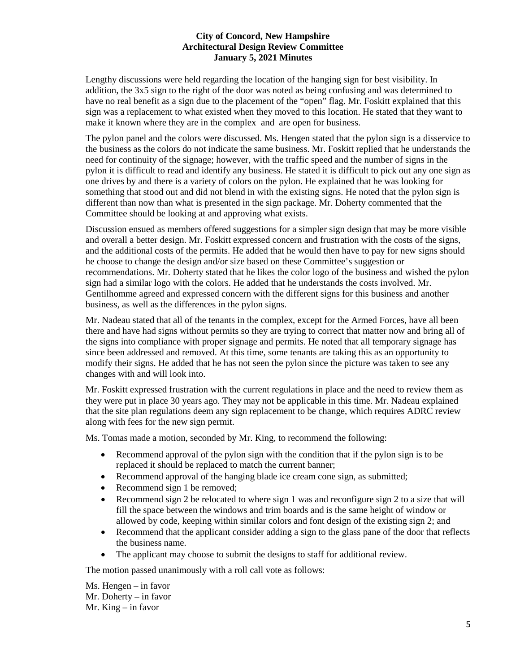Lengthy discussions were held regarding the location of the hanging sign for best visibility. In addition, the 3x5 sign to the right of the door was noted as being confusing and was determined to have no real benefit as a sign due to the placement of the "open" flag. Mr. Foskitt explained that this sign was a replacement to what existed when they moved to this location. He stated that they want to make it known where they are in the complex and are open for business.

The pylon panel and the colors were discussed. Ms. Hengen stated that the pylon sign is a disservice to the business as the colors do not indicate the same business. Mr. Foskitt replied that he understands the need for continuity of the signage; however, with the traffic speed and the number of signs in the pylon it is difficult to read and identify any business. He stated it is difficult to pick out any one sign as one drives by and there is a variety of colors on the pylon. He explained that he was looking for something that stood out and did not blend in with the existing signs. He noted that the pylon sign is different than now than what is presented in the sign package. Mr. Doherty commented that the Committee should be looking at and approving what exists.

Discussion ensued as members offered suggestions for a simpler sign design that may be more visible and overall a better design. Mr. Foskitt expressed concern and frustration with the costs of the signs, and the additional costs of the permits. He added that he would then have to pay for new signs should he choose to change the design and/or size based on these Committee's suggestion or recommendations. Mr. Doherty stated that he likes the color logo of the business and wished the pylon sign had a similar logo with the colors. He added that he understands the costs involved. Mr. Gentilhomme agreed and expressed concern with the different signs for this business and another business, as well as the differences in the pylon signs.

Mr. Nadeau stated that all of the tenants in the complex, except for the Armed Forces, have all been there and have had signs without permits so they are trying to correct that matter now and bring all of the signs into compliance with proper signage and permits. He noted that all temporary signage has since been addressed and removed. At this time, some tenants are taking this as an opportunity to modify their signs. He added that he has not seen the pylon since the picture was taken to see any changes with and will look into.

Mr. Foskitt expressed frustration with the current regulations in place and the need to review them as they were put in place 30 years ago. They may not be applicable in this time. Mr. Nadeau explained that the site plan regulations deem any sign replacement to be change, which requires ADRC review along with fees for the new sign permit.

Ms. Tomas made a motion, seconded by Mr. King, to recommend the following:

- Recommend approval of the pylon sign with the condition that if the pylon sign is to be replaced it should be replaced to match the current banner;
- Recommend approval of the hanging blade ice cream cone sign, as submitted;
- Recommend sign 1 be removed;
- Recommend sign 2 be relocated to where sign 1 was and reconfigure sign 2 to a size that will fill the space between the windows and trim boards and is the same height of window or allowed by code, keeping within similar colors and font design of the existing sign 2; and
- Recommend that the applicant consider adding a sign to the glass pane of the door that reflects the business name.
- The applicant may choose to submit the designs to staff for additional review.

The motion passed unanimously with a roll call vote as follows:

Ms. Hengen – in favor Mr. Doherty – in favor Mr. King – in favor